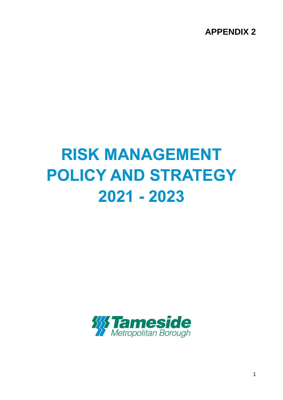**APPENDIX 2**

# **RISK MANAGEMENT POLICY AND STRATEGY 2021 - 2023**



1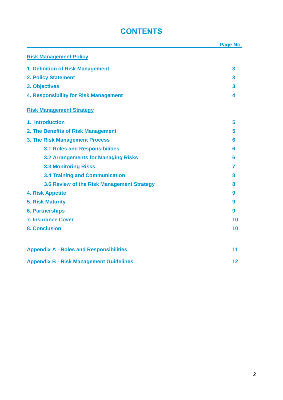# **CONTENTS**

|                                                | Page No. |
|------------------------------------------------|----------|
| <b>Risk Management Policy</b>                  |          |
| 1. Definition of Risk Management               | 3        |
| <b>2. Policy Statement</b>                     | 3        |
| 3. Objectives                                  | 3        |
| 4. Responsibility for Risk Management          | 4        |
| <b>Risk Management Strategy</b>                |          |
| 1. Introduction                                | 5        |
| 2. The Benefits of Risk Management             | 5        |
| 3. The Risk Management Process                 | 6        |
| <b>3.1 Roles and Responsibilities</b>          | 6        |
| <b>3.2 Arrangements for Managing Risks</b>     | 6        |
| <b>3.3 Monitoring Risks</b>                    | 7        |
| <b>3.4 Training and Communication</b>          | 8        |
| 3.6 Review of the Risk Management Strategy     | 8        |
| <b>4. Risk Appetite</b>                        | 9        |
| <b>5. Risk Maturity</b>                        | 9        |
| <b>6. Partnerships</b>                         | 9        |
| <b>7. Insurance Cover</b>                      | 10       |
| <b>8. Conclusion</b>                           | 10       |
| <b>Appendix A - Roles and Responsibilities</b> | 11       |
| <b>Appendix B - Risk Management Guidelines</b> | 12       |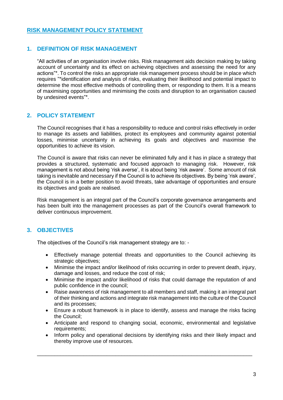#### **RISK MANAGEMENT POLICY STATEMENT**

#### **1. DEFINITION OF RISK MANAGEMENT**

"All activities of an organisation involve risks. Risk management aids decision making by taking account of uncertainty and its effect on achieving objectives and assessing the need for any actions"\*. To control the risks an appropriate risk management process should be in place which requires "\*identification and analysis of risks, evaluating their likelihood and potential impact to determine the most effective methods of controlling them, or responding to them. It is a means of maximising opportunities and minimising the costs and disruption to an organisation caused by undesired events"\*.

#### **2. POLICY STATEMENT**

The Council recognises that it has a responsibility to reduce and control risks effectively in order to manage its assets and liabilities, protect its employees and community against potential losses, minimise uncertainty in achieving its goals and objectives and maximise the opportunities to achieve its vision.

The Council is aware that risks can never be eliminated fully and it has in place a strategy that provides a structured, systematic and focused approach to managing risk. However, risk management is not about being 'risk averse', it is about being 'risk aware'. Some amount of risk taking is inevitable and necessary if the Council is to achieve its objectives. By being 'risk aware', the Council is in a better position to avoid threats, take advantage of opportunities and ensure its objectives and goals are realised.

Risk management is an integral part of the Council's corporate governance arrangements and has been built into the management processes as part of the Council's overall framework to deliver continuous improvement.

#### **3. OBJECTIVES**

The objectives of the Council's risk management strategy are to: -

- Effectively manage potential threats and opportunities to the Council achieving its strategic objectives;
- Minimise the impact and/or likelihood of risks occurring in order to prevent death, injury, damage and losses, and reduce the cost of risk;
- Minimise the impact and/or likelihood of risks that could damage the reputation of and public confidence in the council;
- Raise awareness of risk management to all members and staff, making it an integral part of their thinking and actions and integrate risk management into the culture of the Council and its processes;
- Ensure a robust framework is in place to identify, assess and manage the risks facing the Council;
- Anticipate and respond to changing social, economic, environmental and legislative requirements;
- Inform policy and operational decisions by identifying risks and their likely impact and thereby improve use of resources.

\_\_\_\_\_\_\_\_\_\_\_\_\_\_\_\_\_\_\_\_\_\_\_\_\_\_\_\_\_\_\_\_\_\_\_\_\_\_\_\_\_\_\_\_\_\_\_\_\_\_\_\_\_\_\_\_\_\_\_\_\_\_\_\_\_\_\_\_\_\_\_\_\_\_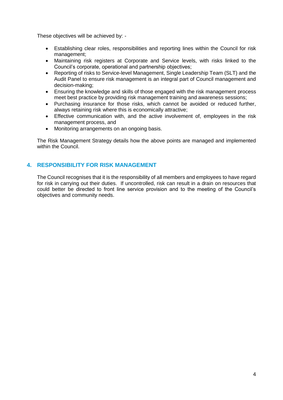These objectives will be achieved by: -

- Establishing clear roles, responsibilities and reporting lines within the Council for risk management;
- Maintaining risk registers at Corporate and Service levels, with risks linked to the Council's corporate, operational and partnership objectives;
- Reporting of risks to Service-level Management, Single Leadership Team (SLT) and the Audit Panel to ensure risk management is an integral part of Council management and decision-making;
- Ensuring the knowledge and skills of those engaged with the risk management process meet best practice by providing risk management training and awareness sessions;
- Purchasing insurance for those risks, which cannot be avoided or reduced further, always retaining risk where this is economically attractive;
- Effective communication with, and the active involvement of, employees in the risk management process, and
- Monitoring arrangements on an ongoing basis.

The Risk Management Strategy details how the above points are managed and implemented within the Council.

#### **4. RESPONSIBILITY FOR RISK MANAGEMENT**

The Council recognises that it is the responsibility of all members and employees to have regard for risk in carrying out their duties. If uncontrolled, risk can result in a drain on resources that could better be directed to front line service provision and to the meeting of the Council's objectives and community needs.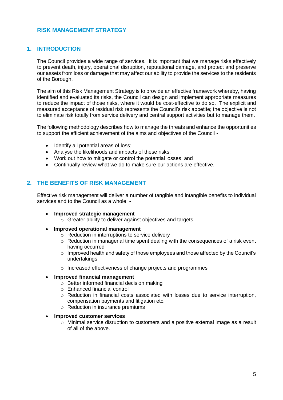#### **RISK MANAGEMENT STRATEGY**

#### **1. INTRODUCTION**

The Council provides a wide range of services. It is important that we manage risks effectively to prevent death, injury, operational disruption, reputational damage, and protect and preserve our assets from loss or damage that may affect our ability to provide the services to the residents of the Borough.

The aim of this Risk Management Strategy is to provide an effective framework whereby, having identified and evaluated its risks, the Council can design and implement appropriate measures to reduce the impact of those risks, where it would be cost-effective to do so. The explicit and measured acceptance of residual risk represents the Council's risk appetite; the objective is not to eliminate risk totally from service delivery and central support activities but to manage them.

The following methodology describes how to manage the threats and enhance the opportunities to support the efficient achievement of the aims and objectives of the Council -

- Identify all potential areas of loss;
- Analyse the likelihoods and impacts of these risks;
- Work out how to mitigate or control the potential losses; and
- Continually review what we do to make sure our actions are effective.

#### **2. THE BENEFITS OF RISK MANAGEMENT**

Effective risk management will deliver a number of tangible and intangible benefits to individual services and to the Council as a whole: -

- **Improved strategic management**
	- o Greater ability to deliver against objectives and targets
- **Improved operational management**
	- o Reduction in interruptions to service delivery
	- o Reduction in managerial time spent dealing with the consequences of a risk event having occurred
	- $\circ$  Improved health and safety of those employees and those affected by the Council's undertakings
	- o Increased effectiveness of change projects and programmes

#### **Improved financial management**

- $\circ$  Better informed financial decision making
- o Enhanced financial control
- $\circ$  Reduction in financial costs associated with losses due to service interruption, compensation payments and litigation etc.
- o Reduction in insurance premiums

#### **Improved customer services**

 $\circ$  Minimal service disruption to customers and a positive external image as a result of all of the above.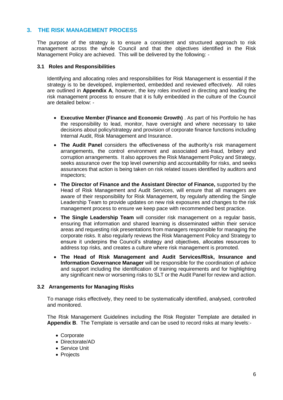#### **3. THE RISK MANAGEMENT PROCESS**

The purpose of the strategy is to ensure a consistent and structured approach to risk management across the whole Council and that the objectives identified in the Risk Management Policy are achieved. This will be delivered by the following: -

#### **3.1 Roles and Responsibilities**

Identifying and allocating roles and responsibilities for Risk Management is essential if the strategy is to be developed, implemented, embedded and reviewed effectively. All roles are outlined in **Appendix A**, however, the key roles involved in directing and leading the risk management process to ensure that it is fully embedded in the culture of the Council are detailed below: -

- **Executive Member (Finance and Economic Growth)** . As part of his Portfolio he has the responsibility to lead, monitor, have oversight and where necessary to take decisions about policy/strategy and provision of corporate finance functions including Internal Audit, Risk Management and Insurance.
- **The Audit Panel** considers the effectiveness of the authority's risk management arrangements, the control environment and associated anti-fraud, bribery and corruption arrangements. It also approves the Risk Management Policy and Strategy, seeks assurance over the top level ownership and accountability for risks, and seeks assurances that action is being taken on risk related issues identified by auditors and inspectors;
- **The Director of Finance and the Assistant Director of Finance,** supported by the Head of Risk Management and Audit Services, will ensure that all managers are aware of their responsibility for Risk Management, by regularly attending the Single Leadership Team to provide updates on new risk exposures and changes to the risk management process to ensure we keep pace with recommended best practice.
- **The Single Leadership Team** will consider risk management on a regular basis, ensuring that information and shared learning is disseminated within their service areas and requesting risk presentations from managers responsible for managing the corporate risks. It also regularly reviews the Risk Management Policy and Strategy to ensure it underpins the Council's strategy and objectives, allocates resources to address top risks, and creates a culture where risk management is promoted.
- **The Head of Risk Management and Audit Services/Risk, Insurance and Information Governance Manager** will be responsible for the coordination of advice and support including the identification of training requirements and for highlighting any significant new or worsening risks to SLT or the Audit Panel for review and action.

#### **3.2 Arrangements for Managing Risks**

To manage risks effectively, they need to be systematically identified, analysed, controlled and monitored.

The Risk Management Guidelines including the Risk Register Template are detailed in **Appendix B**. The Template is versatile and can be used to record risks at many levels:-

- Corporate
- Directorate/AD
- Service Unit
- Projects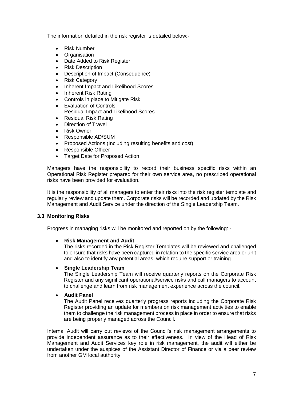The information detailed in the risk register is detailed below:-

- Risk Number
- **Organisation**
- Date Added to Risk Register
- Risk Description
- Description of Impact (Consequence)
- Risk Category
- Inherent Impact and Likelihood Scores
- Inherent Risk Rating
- Controls in place to Mitigate Risk
- Evaluation of Controls Residual Impact and Likelihood Scores
- Residual Risk Rating
- Direction of Travel
- Risk Owner
- Responsible AD/SUM
- Proposed Actions (Including resulting benefits and cost)
- Responsible Officer
- Target Date for Proposed Action

Managers have the responsibility to record their business specific risks within an Operational Risk Register prepared for their own service area, no prescribed operational risks have been provided for evaluation.

It is the responsibility of all managers to enter their risks into the risk register template and regularly review and update them. Corporate risks will be recorded and updated by the Risk Management and Audit Service under the direction of the Single Leadership Team.

#### **3.3 Monitoring Risks**

Progress in managing risks will be monitored and reported on by the following: -

#### **Risk Management and Audit**

The risks recorded in the Risk Register Templates will be reviewed and challenged to ensure that risks have been captured in relation to the specific service area or unit and also to identify any potential areas, which require support or training.

#### **Single Leadership Team**

The Single Leadership Team will receive quarterly reports on the Corporate Risk Register and any significant operational/service risks and call managers to account to challenge and learn from risk management experience across the council.

#### **Audit Panel**

The Audit Panel receives quarterly progress reports including the Corporate Risk Register providing an update for members on risk management activities to enable them to challenge the risk management process in place in order to ensure that risks are being properly managed across the Council.

Internal Audit will carry out reviews of the Council's risk management arrangements to provide independent assurance as to their effectiveness. In view of the Head of Risk Management and Audit Services key role in risk management, the audit will either be undertaken under the auspices of the Assistant Director of Finance or via a peer review from another GM local authority.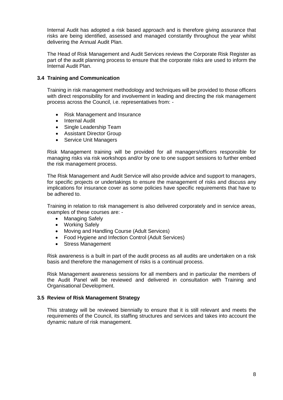Internal Audit has adopted a risk based approach and is therefore giving assurance that risks are being identified, assessed and managed constantly throughout the year whilst delivering the Annual Audit Plan.

The Head of Risk Management and Audit Services reviews the Corporate Risk Register as part of the audit planning process to ensure that the corporate risks are used to inform the Internal Audit Plan.

#### **3.4 Training and Communication**

Training in risk management methodology and techniques will be provided to those officers with direct responsibility for and involvement in leading and directing the risk management process across the Council, i.e. representatives from: -

- Risk Management and Insurance
- Internal Audit
- Single Leadership Team
- Assistant Director Group
- Service Unit Managers

Risk Management training will be provided for all managers/officers responsible for managing risks via risk workshops and/or by one to one support sessions to further embed the risk management process.

The Risk Management and Audit Service will also provide advice and support to managers, for specific projects or undertakings to ensure the management of risks and discuss any implications for insurance cover as some policies have specific requirements that have to be adhered to.

Training in relation to risk management is also delivered corporately and in service areas, examples of these courses are: -

- Managing Safely
- Working Safely
- Moving and Handling Course (Adult Services)
- Food Hygiene and Infection Control (Adult Services)
- Stress Management

Risk awareness is a built in part of the audit process as all audits are undertaken on a risk basis and therefore the management of risks is a continual process.

Risk Management awareness sessions for all members and in particular the members of the Audit Panel will be reviewed and delivered in consultation with Training and Organisational Development.

#### **3.5 Review of Risk Management Strategy**

This strategy will be reviewed biennially to ensure that it is still relevant and meets the requirements of the Council, its staffing structures and services and takes into account the dynamic nature of risk management.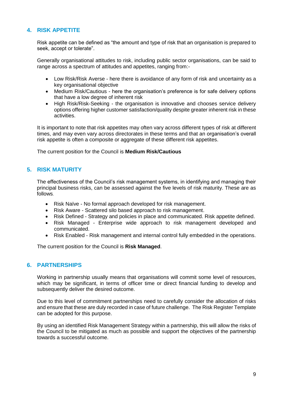#### **4. RISK APPETITE**

Risk appetite can be defined as "the amount and type of risk that an organisation is prepared to seek, accept or tolerate".

Generally organisational attitudes to risk, including public sector organisations, can be said to range across a spectrum of attitudes and appetites, ranging from:-

- Low Risk/Risk Averse here there is avoidance of any form of risk and uncertainty as a key organisational objective
- Medium Risk/Cautious here the organisation's preference is for safe delivery options that have a low degree of inherent risk
- High Risk/Risk-Seeking the organisation is innovative and chooses service delivery options offering higher customer satisfaction/quality despite greater inherent risk in these activities.

It is important to note that risk appetites may often vary across different types of risk at different times, and may even vary across directorates in these terms and that an organisation's overall risk appetite is often a composite or aggregate of these different risk appetites.

The current position for the Council is **Medium Risk/Cautious**

#### **5. RISK MATURITY**

The effectiveness of the Council's risk management systems, in identifying and managing their principal business risks, can be assessed against the five levels of risk maturity. These are as follows.

- Risk Naïve No formal approach developed for risk management.
- Risk Aware Scattered silo based approach to risk management.
- Risk Defined Strategy and policies in place and communicated. Risk appetite defined.
- Risk Managed Enterprise wide approach to risk management developed and communicated.
- Risk Enabled Risk management and internal control fully embedded in the operations.

The current position for the Council is **Risk Managed**.

#### **6. PARTNERSHIPS**

Working in partnership usually means that organisations will commit some level of resources, which may be significant, in terms of officer time or direct financial funding to develop and subsequently deliver the desired outcome.

Due to this level of commitment partnerships need to carefully consider the allocation of risks and ensure that these are duly recorded in case of future challenge. The Risk Register Template can be adopted for this purpose.

By using an identified Risk Management Strategy within a partnership, this will allow the risks of the Council to be mitigated as much as possible and support the objectives of the partnership towards a successful outcome.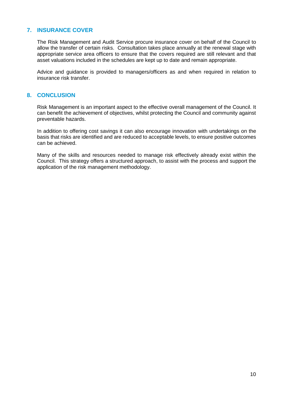#### **7. INSURANCE COVER**

The Risk Management and Audit Service procure insurance cover on behalf of the Council to allow the transfer of certain risks. Consultation takes place annually at the renewal stage with appropriate service area officers to ensure that the covers required are still relevant and that asset valuations included in the schedules are kept up to date and remain appropriate.

Advice and guidance is provided to managers/officers as and when required in relation to insurance risk transfer.

#### **8. CONCLUSION**

Risk Management is an important aspect to the effective overall management of the Council. It can benefit the achievement of objectives, whilst protecting the Council and community against preventable hazards.

In addition to offering cost savings it can also encourage innovation with undertakings on the basis that risks are identified and are reduced to acceptable levels, to ensure positive outcomes can be achieved.

Many of the skills and resources needed to manage risk effectively already exist within the Council. This strategy offers a structured approach, to assist with the process and support the application of the risk management methodology.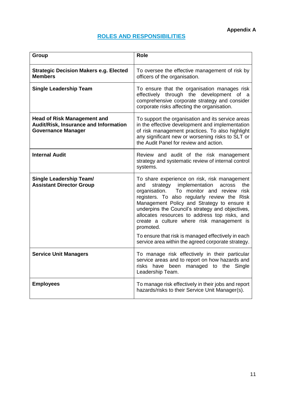## **ROLES AND RESPONSIBILITIES**

| <b>Group</b>                                                                                             | <b>Role</b>                                                                                                                                                                                                                                                                                                                                                                                                                                                                                                                    |
|----------------------------------------------------------------------------------------------------------|--------------------------------------------------------------------------------------------------------------------------------------------------------------------------------------------------------------------------------------------------------------------------------------------------------------------------------------------------------------------------------------------------------------------------------------------------------------------------------------------------------------------------------|
| <b>Strategic Decision Makers e.g. Elected</b><br><b>Members</b>                                          | To oversee the effective management of risk by<br>officers of the organisation.                                                                                                                                                                                                                                                                                                                                                                                                                                                |
| <b>Single Leadership Team</b>                                                                            | To ensure that the organisation manages risk<br>effectively through the development of a<br>comprehensive corporate strategy and consider<br>corporate risks affecting the organisation.                                                                                                                                                                                                                                                                                                                                       |
| <b>Head of Risk Management and</b><br>Audit/Risk, Insurance and Information<br><b>Governance Manager</b> | To support the organisation and its service areas<br>in the effective development and implementation<br>of risk management practices. To also highlight<br>any significant new or worsening risks to SLT or<br>the Audit Panel for review and action.                                                                                                                                                                                                                                                                          |
| <b>Internal Audit</b>                                                                                    | Review and audit of the risk management<br>strategy and systematic review of internal control<br>systems.                                                                                                                                                                                                                                                                                                                                                                                                                      |
| <b>Single Leadership Team/</b><br><b>Assistant Director Group</b>                                        | To share experience on risk, risk management<br>implementation<br>and<br>the<br>strategy<br>across<br>To monitor and review<br>organisation.<br>risk<br>registers. To also regularly review the Risk<br>Management Policy and Strategy to ensure it<br>underpins the Council's strategy and objectives,<br>allocates resources to address top risks, and<br>create a culture where risk management is<br>promoted.<br>To ensure that risk is managed effectively in each<br>service area within the agreed corporate strategy. |
|                                                                                                          |                                                                                                                                                                                                                                                                                                                                                                                                                                                                                                                                |
| <b>Service Unit Managers</b>                                                                             | To manage risk effectively in their particular<br>service areas and to report on how hazards and<br>risks have been<br>managed to the<br>Single<br>Leadership Team.                                                                                                                                                                                                                                                                                                                                                            |
| <b>Employees</b>                                                                                         | To manage risk effectively in their jobs and report<br>hazards/risks to their Service Unit Manager(s).                                                                                                                                                                                                                                                                                                                                                                                                                         |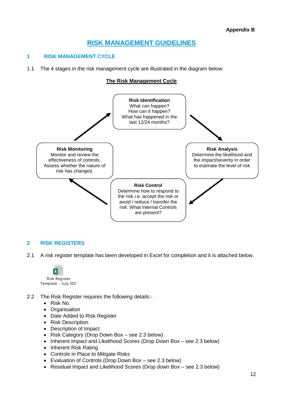### **RISK MANAGEMENT GUIDELINES**

#### **1 RISK MANAGEMENT CYCLE**

1.1 The 4 stages in the risk management cycle are illustrated in the diagram below:

#### **The Risk Management Cycle**



#### **2 RISK REGISTERS**

2.1 A risk register template has been developed in Excel for completion and it is attached below.



- 2.2 The Risk Register requires the following details:-
	- Risk No.
	- Organisation
	- Date Added to Risk Register
	- Risk Description
	- Description of Impact
	- Risk Category (Drop Down Box see 2.3 below)
	- Inherent Impact and Likelihood Scores (Drop Down Box see 2.3 below)
	- Inherent Risk Rating
	- Controls in Place to Mitigate Risks
	- Evaluation of Controls (Drop Down Box see 2.3 below)
	- Residual Impact and Likelihood Scores (Drop down Box see 2.3 below)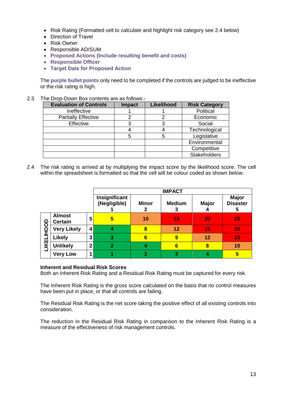- Risk Rating (Formatted cell to calculate and highlight risk category see 2.4 below)
- Direction of Travel
- Risk Owner
- Responsible AD/SUM
- **Proposed Actions (Include resulting benefit and costs)**
- **Responsible Officer**
- **Target Date for Proposed Action**

The **purple bullet points** only need to be completed if the controls are judged to be ineffective or the risk rating is high.

2.3 The Drop-Down Box contents are as follows:-

| <b>Evaluation of Controls</b> | <b>Impact</b> | Likelihood | <b>Risk Category</b> |
|-------------------------------|---------------|------------|----------------------|
| Ineffective                   |               |            | Political            |
| <b>Partially Effective</b>    |               |            | Economic             |
| <b>Effective</b>              |               |            | Social               |
|                               |               |            | Technological        |
|                               | 5             | 5          | Legislative          |
|                               |               |            | Environmental        |
|                               |               |            | Competitive          |
|                               |               |            | <b>Stakeholders</b>  |

2.4 The risk rating is arrived at by multiplying the impact score by the likelihood score. The cell within the spreadsheet is formatted so that the cell will be colour coded as shown below.

|                   |                                 |                               | <b>IMPACT</b>     |                    |                   |                                      |    |
|-------------------|---------------------------------|-------------------------------|-------------------|--------------------|-------------------|--------------------------------------|----|
|                   |                                 | Insignificant<br>(Negligible) | <b>Minor</b><br>2 | <b>Medium</b><br>3 | <b>Major</b><br>4 | <b>Major</b><br><b>Disaster</b><br>5 |    |
| <b>LIKELIHOOD</b> | <b>Almost</b><br><b>Certain</b> | 5                             | 5                 | 10                 | 15                | 20                                   | 25 |
|                   | <b>Very Likely</b>              | 4                             | 4                 | 8                  | 12                | 16                                   | 20 |
|                   | <b>Likely</b>                   | 3                             | 3                 | 6                  | 9                 | 12                                   | 15 |
|                   | <b>Unlikely</b>                 | 2 <sub>1</sub>                | $\overline{2}$    |                    | $6\phantom{1}$    | 8                                    | 10 |
|                   | <b>Very Low</b>                 |                               |                   | 2                  | 3                 |                                      | 5  |

#### **Inherent and Residual Risk Scores**

Both an Inherent Risk Rating and a Residual Risk Rating must be captured for every risk.

The Inherent Risk Rating is the gross score calculated on the basis that no control measures have been put in place, or that all controls are failing.

The Residual Risk Rating is the net score taking the positive effect of all existing controls into consideration.

The reduction in the Residual Risk Rating in comparison to the Inherent Risk Rating is a measure of the effectiveness of risk management controls.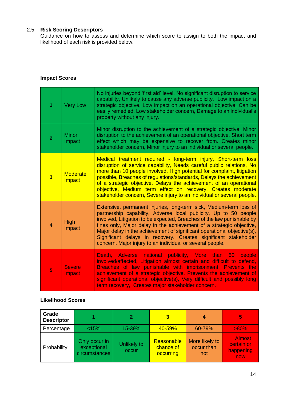#### 2.5 **Risk Scoring Descriptors**

Guidance on how to assess and determine which score to assign to both the impact and likelihood of each risk is provided below.

#### **Impact Scores**

| 1                       | <b>Very Low</b>           | No injuries beyond 'first aid' level, No significant disruption to service<br>capability, Unlikely to cause any adverse publicity, Low impact on a<br>strategic objective, Low impact on an operational objective, Can be<br>easily remedied, Low stakeholder concern, Damage to an individual's<br>property without any injury.                                                                                                                                                                       |
|-------------------------|---------------------------|--------------------------------------------------------------------------------------------------------------------------------------------------------------------------------------------------------------------------------------------------------------------------------------------------------------------------------------------------------------------------------------------------------------------------------------------------------------------------------------------------------|
| 2                       | <b>Minor</b><br>Impact    | Minor disruption to the achievement of a strategic objective, Minor<br>disruption to the achievement of an operational objective, Short term<br>effect which may be expensive to recover from. Creates minor<br>stakeholder concern, Minor injury to an individual or several people.                                                                                                                                                                                                                  |
| $\overline{\mathbf{3}}$ | <b>Moderate</b><br>Impact | Medical treatment required - long-term injury, Short-term loss<br>disruption of service capability, Needs careful public relations, No<br>more than 10 people involved, High potential for complaint, litigation<br>possible, Breaches of regulations/standards, Delays the achievement<br>of a strategic objective, Delays the achievement of an operational<br>objective, Medium term effect on recovery, Creates moderate<br>stakeholder concern, Severe injury to an individual or several people. |
| 4                       | <b>High</b><br>Impact     | Extensive, permanent injuries, long-term sick, Medium-term loss of<br>partnership capability, Adverse local publicity, Up to 50 people<br>involved, Litigation to be expected, Breaches of the law punishable by<br>fines only, Major delay in the achievement of a strategic objective,<br>Major delay in the achievement of significant operational objective(s),<br>Significant delays in recovery. Creates significant stakeholder<br>concern, Major injury to an individual or several people.    |
| 5                       | <b>Severe</b><br>Impact   | Death, Adverse national publicity, More than 50 people<br>involved/affected, Litigation almost certain and difficult to defend,<br>Breaches of law punishable with imprisonment, Prevents the<br>achievement of a strategic objective, Prevents the achievement of<br>significant operational objective(s), Very difficult and possibly long<br>term recovery, Creates major stakeholder concern.                                                                                                      |

#### **Likelihood Scores**

| Grade<br><b>Descriptor</b> |                                               |                      | 3                                    | 4                                   | 5                                               |
|----------------------------|-----------------------------------------------|----------------------|--------------------------------------|-------------------------------------|-------------------------------------------------|
| Percentage                 | < 15%                                         | 15-39%               | 40-59%                               | 60-79%                              | $>80\%$                                         |
| Probability                | Only occur in<br>exceptional<br>circumstances | Unlikely to<br>occur | Reasonable<br>chance of<br>occurring | More likely to<br>occur than<br>not | <b>Almost</b><br>certain or<br>happening<br>now |